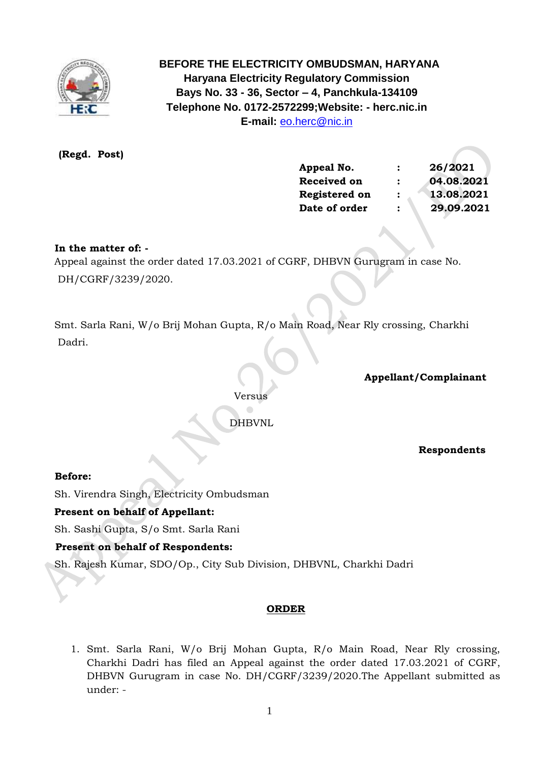

 **BEFORE THE ELECTRICITY OMBUDSMAN, HARYANA Haryana Electricity Regulatory Commission Bays No. 33 - 36, Sector – 4, Panchkula-134109 Telephone No. 0172-2572299;Website: - herc.nic.in E-mail:** [eo.herc@nic.in](mailto:eo.herc@nic.in)

 **(Regd. Post)**

| Appeal No.         | $\mathbf{r}$   | 26/2021    |  |
|--------------------|----------------|------------|--|
| <b>Received on</b> | $\ddot{\cdot}$ | 04.08.2021 |  |
| Registered on      | $\mathbf{r}$   | 13.08.2021 |  |
| Date of order      | $\ddot{\cdot}$ | 29.09.2021 |  |

### **In the matter of: -**

 Appeal against the order dated 17.03.2021 of CGRF, DHBVN Gurugram in case No. DH/CGRF/3239/2020.

 Smt. Sarla Rani, W/o Brij Mohan Gupta, R/o Main Road, Near Rly crossing, Charkhi Dadri.

**Appellant/Complainant** 

Versus

DHBVNL

 **Respondents**

#### **Before:**

Sh. Virendra Singh, Electricity Ombudsman

#### **Present on behalf of Appellant:**

Sh. Sashi Gupta, S/o Smt. Sarla Rani

## **Present on behalf of Respondents:**

Sh. Rajesh Kumar, SDO/Op., City Sub Division, DHBVNL, Charkhi Dadri

#### **ORDER**

1. Smt. Sarla Rani, W/o Brij Mohan Gupta, R/o Main Road, Near Rly crossing, Charkhi Dadri has filed an Appeal against the order dated 17.03.2021 of CGRF, DHBVN Gurugram in case No. DH/CGRF/3239/2020.The Appellant submitted as under: -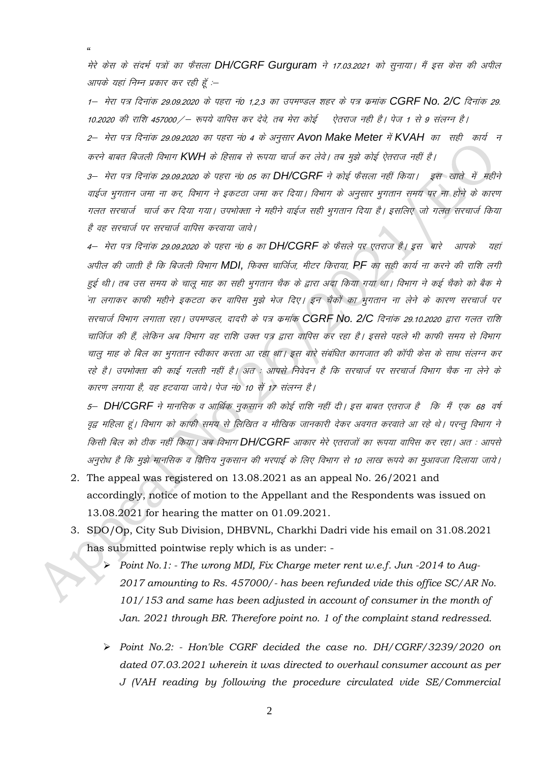मेरे क्रेस के संदर्भ पत्रों का फैसला DH/CGRF Gurguram ने 17.03.2021 को सुनाया। मैं इस केस की अपील आपके यहां निम्न प्रकार कर रही हूँ :--

1— मेरा पत्र दिनांक 29.09.2020 के पहरा नं0 1,2,3 का उपमण्डल शहर के पत्र कमांक **CGRF No. 2/C** दिनांक 29. 10.2020 की राशि 457000 / – रूपये वापिस कर देवे, तब मेरा कोई ऐतराज नही है। पेज 1 से 9 संलग्न है।

2– मेरा पत्र दिनांक 29.09.2020 का पहरा नं0 4 के अनुसार Avon Make Meter में KVAH का सही कार्य न करने बाबत बिजली विभाग KWH के हिसाब से रूपया चार्ज कर लेवे। तब मुझे कोई ऐतराज नहीं है।

3– मेरा पत्र दिनांक 29.09.2020 के पहरा नं0 05 का **DH/CGRF** ने कोई फैसला नहीं किया। इस खाते में महीने वाईज भुगतान जमा ना कर, विभाग ने इकटठा जमा कर दिया। विभाग के अनुसार भुगतान समय पर ना होने के कारण गलत सरचार्ज चार्ज कर दिया गया। उपभोक्ता ने महीने वाईज सही भुगतान दिया है। इसलिए जो गलत सरचार्ज किया है वह सरचार्ज पर सरचार्ज वापिस करवाया जावे।

4– मेरा पत्र दिनांक 29.09.2020 के पहरा नं0 6 का DH/CGRF के फैसले पर एतराज है। इस बारे आपके यहां अपील की जाती है कि बिजली विभाग MDI, फिक्स चार्जिज, मीटर किराया, PF का सही कार्य ना करने की राशि लगी हुई थी। तब उस समय के चालू माह का सही भुगतान चैक के द्वारा अदा किया गया था। विभाग ने कई चैको को बैक मे ना लगाकर काफी महीने इकटठा कर वापिस मुझे भेज दिए। इन चैकों का भुगतान ना लेने के कारण सरचार्ज पर सरचार्ज विभाग लगाता रहा। उपमण्डल, दादरी के पत्र कमांक CGRF No. 2/C दिनांक 29.10.2020 द्वारा गलत राशि चार्जिज की हैं, लेकिन अब विभाग वह राशि उक्त पत्र द्वारा वापिस कर रहा है। इससे पहले भी काफी समय से विभाग चालू माह के बिल का भूगतान स्वीकार करता आ रहा था। इस बारे संबंधित कागजात की कॉपी केस के साथ संलग्न कर रहे है। उपभोक्ता की काई गलती नहीं है। अत : आपसे निवेदन है कि सरचार्ज पर सरचार्ज विभाग चैक ना लेने के कारण लगाया है, वह हटवाया जाये। पेज नं0 10 सें 17 संलग्न है।

5- DH/CGRF ने मानसिक व आर्थिक नुकसान की कोई राशि नहीं दी। इस बाबत एतराज है<sup>,</sup> कि मैं एक 68 वर्ष वृद्व महिला हूं। विभाग को काफी समय से लिखित व मौखिक जानकारी देकर अवगत करवाते आ रहे थे। परन्तु विभाग ने किसी बिल को ठीक नहीं किया। अब विभाग DH/CGRF आकार मेरे एतराजों का रूपया वापिस कर रहा। अत : आपसे अनुरोध है कि मुझे मानसिक व वित्तिय नुकसान की भरपाई के लिए विभाग से 10 लाख रूपये का मुआवजा दिलाया जाये।

- 2. The appeal was registered on  $13.08.2021$  as an appeal No.  $26/2021$  and accordingly, notice of motion to the Appellant and the Respondents was issued on 13.08.2021 for hearing the matter on 01.09.2021.
- 3. SDO/Op, City Sub Division, DHBVNL, Charkhi Dadri vide his email on 31.08.2021 has submitted pointwise reply which is as under: -
	- Point No. 1: The wrong MDI, Fix Charge meter rent w.e.f. Jun -2014 to Aug- $\blacktriangleright$ 2017 amounting to Rs. 457000/- has been refunded vide this office SC/AR No. 101/153 and same has been adjusted in account of consumer in the month of Jan. 2021 through BR. Therefore point no. 1 of the complaint stand redressed.
	- > Point No.2: Hon'ble CGRF decided the case no. DH/CGRF/3239/2020 on dated 07.03.2021 wherein it was directed to overhaul consumer account as per J (VAH reading by following the procedure circulated vide SE/Commercial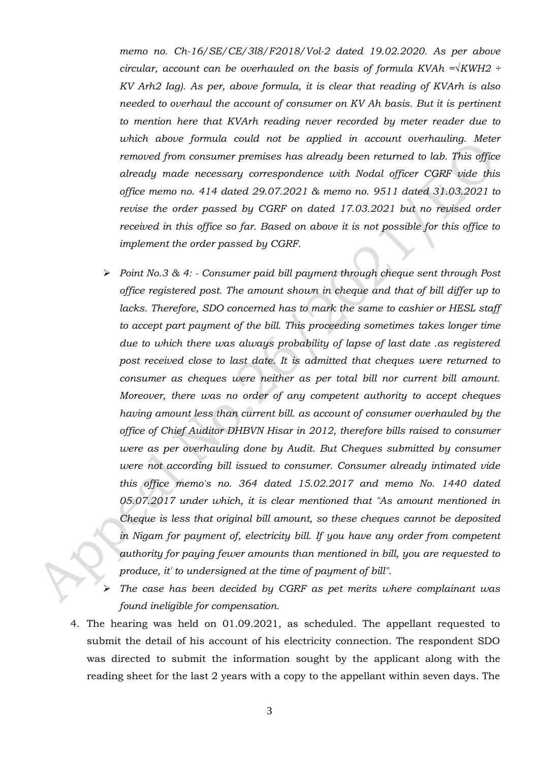*memo no. Ch-16/SE/CE/3l8/F2018/Vol-2 dated 19.02.2020. As per above circular, account can be overhauled on the basis of formula KVAh =√KWH2 ÷ KV Arh2 Iag). As per, above formula, it is clear that reading of KVArh is also needed to overhaul the account of consumer on KV Ah basis. But it is pertinent to mention here that KVArh reading never recorded by meter reader due to*  which above formula could not be applied in account overhauling. Meter *removed from consumer premises has already been returned to lab. This office already made necessary correspondence with Nodal officer CGRF vide this office memo no. 414 dated 29.07.2021 & memo no. 9511 dated 31.03.2021 to revise the order passed by CGRF on dated 17.03.2021 but no revised order received in this office so far. Based on above it is not possible for this office to implement the order passed by CGRF.*

- ➢ *Point No.3 & 4: - Consumer paid bill payment through cheque sent through Post office registered post. The amount shown in cheque and that of bill differ up to lacks. Therefore, SDO concerned has to mark the same to cashier or HESL staff to accept part payment of the bill. This proceeding sometimes takes longer time due to which there was always probability of lapse of last date .as registered post received close to last date. It is admitted that cheques were returned to consumer as cheques were neither as per total bill nor current bill amount. Moreover, there was no order of any competent authority to accept cheques having amount less than current bill. as account of consumer overhauled by the office of Chief Auditor DHBVN Hisar in 2012, therefore bills raised to consumer were as per overhauling done by Audit. But Cheques submitted by consumer were not according bill issued to consumer. Consumer already intimated vide this office memo's no. 364 dated 15.02.2017 and memo No. 1440 dated 05.07.2017 under which, it is clear mentioned that "As amount mentioned in Cheque is less that original bill amount, so these cheques cannot be deposited in Nigam for payment of, electricity bill. If you have any order from competent authority for paying fewer amounts than mentioned in bill, you are requested to produce, it' to undersigned at the time of payment of bill".*
- ➢ *The case has been decided by CGRF as pet merits where complainant was found ineligible for compensation.*
- 4. The hearing was held on 01.09.2021, as scheduled. The appellant requested to submit the detail of his account of his electricity connection. The respondent SDO was directed to submit the information sought by the applicant along with the reading sheet for the last 2 years with a copy to the appellant within seven days. The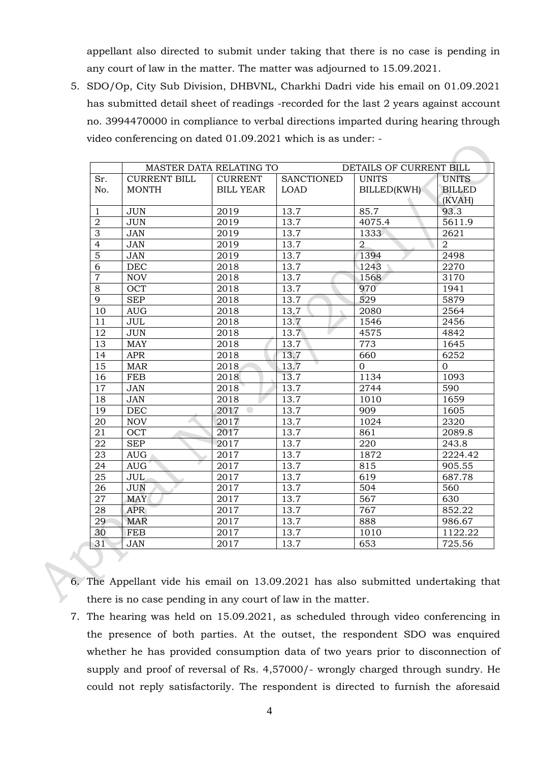appellant also directed to submit under taking that there is no case is pending in any court of law in the matter. The matter was adjourned to 15.09.2021.

5. SDO/Op, City Sub Division, DHBVNL, Charkhi Dadri vide his email on 01.09.2021 has submitted detail sheet of readings -recorded for the last 2 years against account no. 3994470000 in compliance to verbal directions imparted during hearing through video conferencing on dated 01.09.2021 which is as under: -

|                 | MASTER DATA RELATING TO |                  |                   | DETAILS OF CURRENT BILL |                |
|-----------------|-------------------------|------------------|-------------------|-------------------------|----------------|
| Sr.             | <b>CURRENT BILL</b>     | <b>CURRENT</b>   | <b>SANCTIONED</b> | <b>UNITS</b>            | <b>UNITS</b>   |
| No.             | <b>MONTH</b>            | <b>BILL YEAR</b> | <b>LOAD</b>       | BILLED(KWH)             | <b>BILLED</b>  |
|                 |                         |                  |                   |                         | (KVAH)         |
| $\mathbf{1}$    | <b>JUN</b>              | 2019             | 13.7              | 85.7                    | 93.3           |
| $\overline{2}$  | <b>JUN</b>              | 2019             | 13.7              | 4075.4                  | 5611.9         |
| $\overline{3}$  | <b>JAN</b>              | 2019             | 13.7              | 1333                    | 2621           |
| $\overline{4}$  | <b>JAN</b>              | 2019             | 13.7              | $\overline{2}$          | $\overline{2}$ |
| $\overline{5}$  | <b>JAN</b>              | 2019             | 13.7              | 1394                    | 2498           |
| 6               | <b>DEC</b>              | 2018             | 13.7              | 1243                    | 2270           |
| $\overline{7}$  | <b>NOV</b>              | 2018             | 13.7              | 1568                    | 3170           |
| $\overline{8}$  | OCT                     | 2018             | 13.7              | 970                     | 1941           |
| $\overline{9}$  | <b>SEP</b>              | 2018             | 13.7              | 529                     | 5879           |
| 10              | <b>AUG</b>              | 2018             | 13.7              | 2080                    | 2564           |
| 11              | <b>JUL</b>              | 2018             | 13.7              | 1546                    | 2456           |
| 12              | <b>JUN</b>              | 2018             | 13.7              | 4575                    | 4842           |
| $\overline{13}$ | <b>MAY</b>              | 2018             | 13.7              | 773                     | 1645           |
| 14              | <b>APR</b>              | 2018             | 13.7              | 660                     | 6252           |
| 15              | <b>MAR</b>              | 2018             | 13.7              | $\overline{0}$          | $\mathbf{0}$   |
| 16              | <b>FEB</b>              | 2018             | 13.7              | 1134                    | 1093           |
| 17              | <b>JAN</b>              | 2018             | 13.7              | 2744                    | 590            |
| 18              | <b>JAN</b>              | 2018             | 13.7              | 1010                    | 1659           |
| 19              | <b>DEC</b>              | 2017             | 13.7              | 909                     | 1605           |
| 20              | <b>NOV</b>              | 2017             | 13.7              | 1024                    | 2320           |
| 21              | OCT                     | 2017             | 13.7              | 861                     | 2089.8         |
| 22              | <b>SEP</b>              | 2017             | 13.7              | 220                     | 243.8          |
| 23              | <b>AUG</b>              | 2017             | 13.7              | 1872                    | 2224.42        |
| 24              | <b>AUG</b>              | 2017             | 13.7              | 815                     | 905.55         |
| 25              | <b>JUL</b>              | 2017             | 13.7              | 619                     | 687.78         |
| 26              | <b>JUN</b>              | 2017             | 13.7              | 504                     | 560            |
| 27              | <b>MAY</b>              | 2017             | 13.7              | $\overline{567}$        | 630            |
| 28              | <b>APR</b>              | 2017             | 13.7              | 767                     | 852.22         |
| 29              | <b>MAR</b>              | 2017             | 13.7              | 888                     | 986.67         |
| 30              | <b>FEB</b>              | 2017             | 13.7              | 1010                    | 1122.22        |
| 31              | <b>JAN</b>              | 2017             | 13.7              | 653                     | 725.56         |

- 6. The Appellant vide his email on 13.09.2021 has also submitted undertaking that there is no case pending in any court of law in the matter.
- 7. The hearing was held on 15.09.2021, as scheduled through video conferencing in the presence of both parties. At the outset, the respondent SDO was enquired whether he has provided consumption data of two years prior to disconnection of supply and proof of reversal of Rs. 4,57000/- wrongly charged through sundry. He could not reply satisfactorily. The respondent is directed to furnish the aforesaid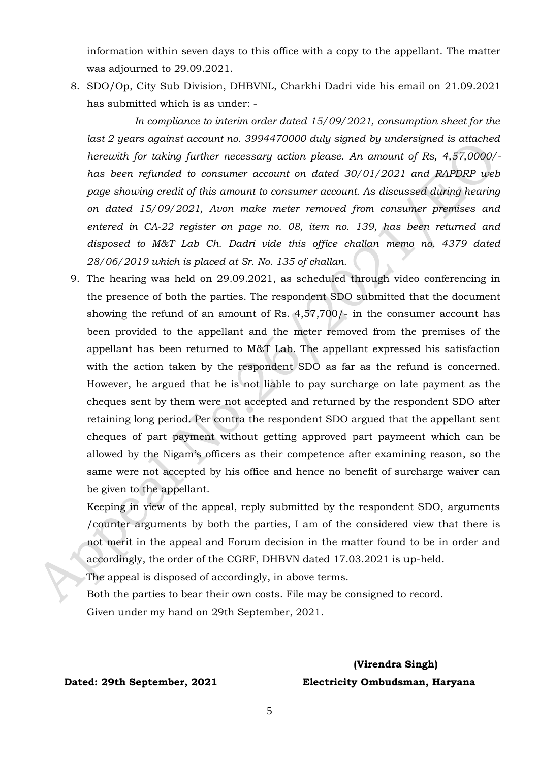information within seven days to this office with a copy to the appellant. The matter was adjourned to 29.09.2021.

8. SDO/Op, City Sub Division, DHBVNL, Charkhi Dadri vide his email on 21.09.2021 has submitted which is as under: -

 *In compliance to interim order dated 15/09/2021, consumption sheet for the*  last 2 years against account no. 3994470000 duly signed by undersigned is attached *herewith for taking further necessary action please. An amount of Rs, 4,57,0000/ has been refunded to consumer account on dated 30/01/2021 and RAPDRP web page* showing credit of this amount to consumer account. As discussed during hearing *on dated 15/09/2021, Avon make meter removed from consumer premises and entered in CA-22 register on page no. 08, item no. 139, has been returned and disposed to M&T Lab Ch. Dadri vide this office challan memo no. 4379 dated 28/06/2019 which is placed at Sr. No. 135 of challan.*

9. The hearing was held on 29.09.2021, as scheduled through video conferencing in the presence of both the parties. The respondent SDO submitted that the document showing the refund of an amount of Rs. 4,57,700/- in the consumer account has been provided to the appellant and the meter removed from the premises of the appellant has been returned to M&T Lab. The appellant expressed his satisfaction with the action taken by the respondent SDO as far as the refund is concerned. However, he argued that he is not liable to pay surcharge on late payment as the cheques sent by them were not accepted and returned by the respondent SDO after retaining long period. Per contra the respondent SDO argued that the appellant sent cheques of part payment without getting approved part paymeent which can be allowed by the Nigam's officers as their competence after examining reason, so the same were not accepted by his office and hence no benefit of surcharge waiver can be given to the appellant.

Keeping in view of the appeal, reply submitted by the respondent SDO, arguments /counter arguments by both the parties, I am of the considered view that there is not merit in the appeal and Forum decision in the matter found to be in order and accordingly, the order of the CGRF, DHBVN dated 17.03.2021 is up-held.

The appeal is disposed of accordingly, in above terms.

Both the parties to bear their own costs. File may be consigned to record. Given under my hand on 29th September, 2021.

# **(Virendra Singh) Dated: 29th September, 2021 Electricity Ombudsman, Haryana**